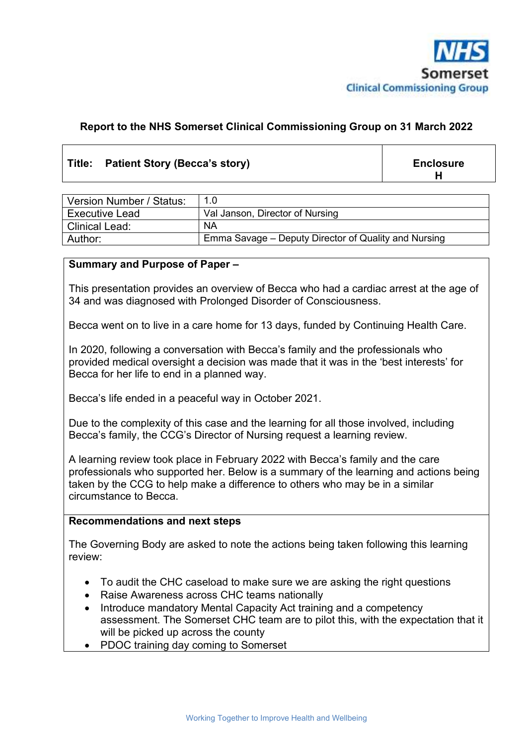

#### **Report to the NHS Somerset Clinical Commissioning Group on 31 March 2022**

#### Title: Patient Story (Becca's story) **Enclosure Enclosure**

**H**

| Version Number / Status: | 1.0                                                  |  |
|--------------------------|------------------------------------------------------|--|
| <b>Executive Lead</b>    | Val Janson, Director of Nursing                      |  |
| <b>Clinical Lead:</b>    | <b>NA</b>                                            |  |
| Author:                  | Emma Savage – Deputy Director of Quality and Nursing |  |

#### **Summary and Purpose of Paper –**

This presentation provides an overview of Becca who had a cardiac arrest at the age of 34 and was diagnosed with Prolonged Disorder of Consciousness.

Becca went on to live in a care home for 13 days, funded by Continuing Health Care.

In 2020, following a conversation with Becca's family and the professionals who provided medical oversight a decision was made that it was in the 'best interests' for Becca for her life to end in a planned way.

Becca's life ended in a peaceful way in October 2021.

Due to the complexity of this case and the learning for all those involved, including Becca's family, the CCG's Director of Nursing request a learning review.

A learning review took place in February 2022 with Becca's family and the care professionals who supported her. Below is a summary of the learning and actions being taken by the CCG to help make a difference to others who may be in a similar circumstance to Becca.

#### **Recommendations and next steps**

The Governing Body are asked to note the actions being taken following this learning review:

- To audit the CHC caseload to make sure we are asking the right questions
- Raise Awareness across CHC teams nationally
- Introduce mandatory Mental Capacity Act training and a competency assessment. The Somerset CHC team are to pilot this, with the expectation that it will be picked up across the county
- PDOC training day coming to Somerset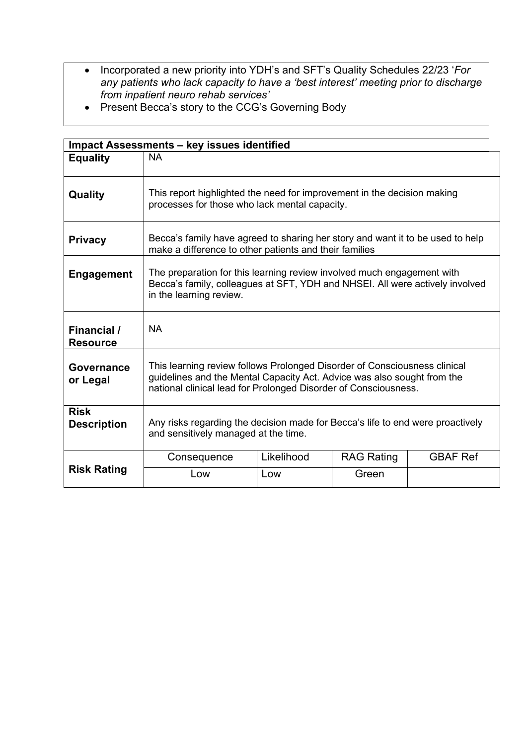- Incorporated a new priority into YDH's and SFT's Quality Schedules 22/23 '*For any patients who lack capacity to have a 'best interest' meeting prior to discharge from inpatient neuro rehab services'*
- Present Becca's story to the CCG's Governing Body

| Impact Assessments - key issues identified |                                                                                                                                                                                                                         |            |                   |                 |  |  |
|--------------------------------------------|-------------------------------------------------------------------------------------------------------------------------------------------------------------------------------------------------------------------------|------------|-------------------|-----------------|--|--|
| <b>Equality</b>                            | <b>NA</b>                                                                                                                                                                                                               |            |                   |                 |  |  |
| Quality                                    | This report highlighted the need for improvement in the decision making<br>processes for those who lack mental capacity.                                                                                                |            |                   |                 |  |  |
| <b>Privacy</b>                             | Becca's family have agreed to sharing her story and want it to be used to help<br>make a difference to other patients and their families                                                                                |            |                   |                 |  |  |
| <b>Engagement</b>                          | The preparation for this learning review involved much engagement with<br>Becca's family, colleagues at SFT, YDH and NHSEI. All were actively involved<br>in the learning review.                                       |            |                   |                 |  |  |
| Financial /<br><b>Resource</b>             | <b>NA</b>                                                                                                                                                                                                               |            |                   |                 |  |  |
| <b>Governance</b><br>or Legal              | This learning review follows Prolonged Disorder of Consciousness clinical<br>guidelines and the Mental Capacity Act. Advice was also sought from the<br>national clinical lead for Prolonged Disorder of Consciousness. |            |                   |                 |  |  |
| <b>Risk</b><br><b>Description</b>          | Any risks regarding the decision made for Becca's life to end were proactively<br>and sensitively managed at the time.                                                                                                  |            |                   |                 |  |  |
| <b>Risk Rating</b>                         | Consequence                                                                                                                                                                                                             | Likelihood | <b>RAG Rating</b> | <b>GBAF Ref</b> |  |  |
|                                            | Low                                                                                                                                                                                                                     | Low        | Green             |                 |  |  |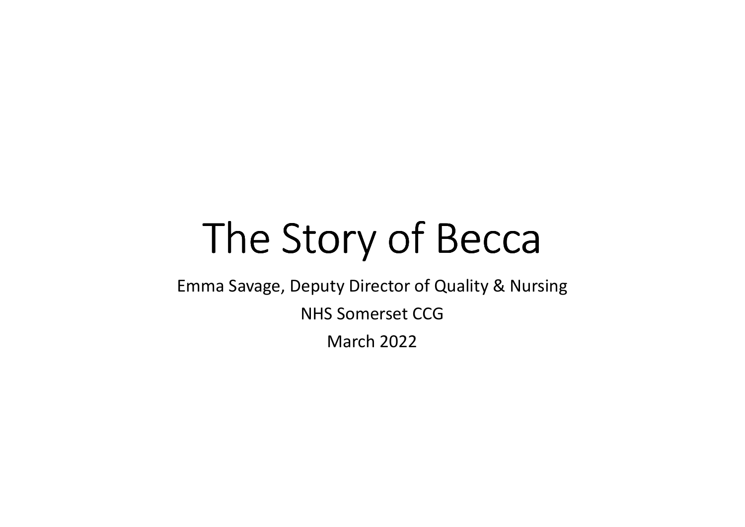# The Story of Becca

Emma Savage, Deputy Director of Quality & Nursing NHS Somerset CCGMarch 2022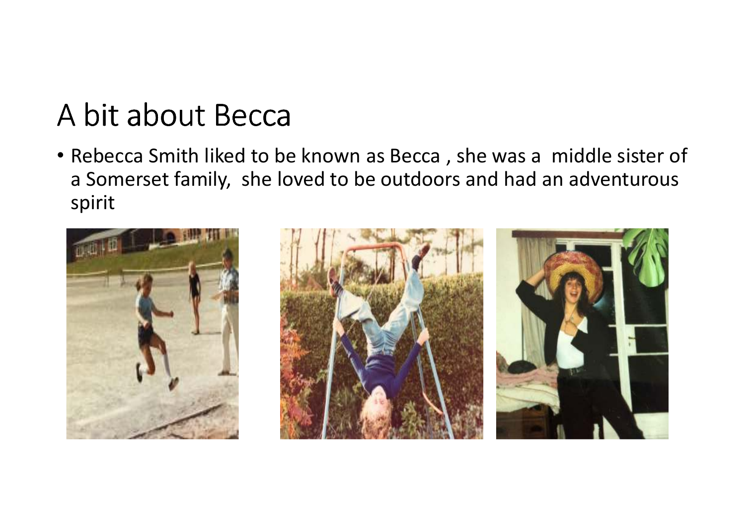### A bit about Becca

• Rebecca Smith liked to be known as Becca , she was a middle sister of a Somerset family, she loved to be outdoors and had an adventurous spirit

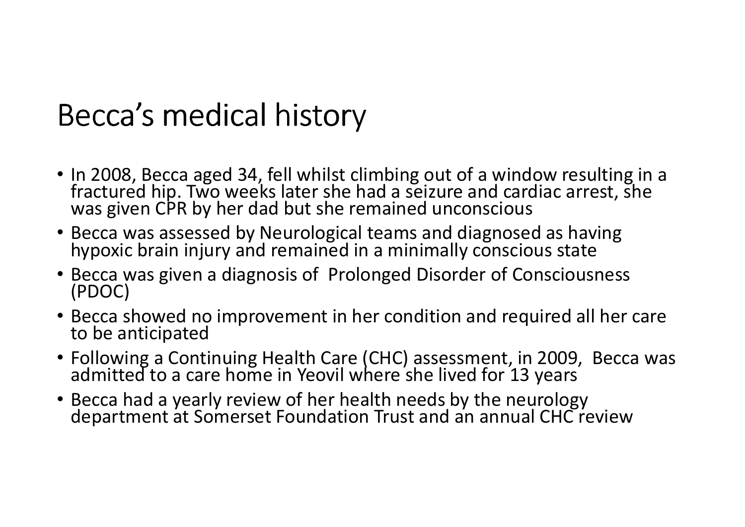### Becca's medical history

- In 2008, Becca aged 34, fell whilst climbing out of a window resulting in a fractured hip. Two weeks later she had a seizure and cardiac arrest, she was given CPR by her dad but she remained unconscious
- Becca was assessed by Neurological teams and diagnosed as having hypoxic brain injury and remained in a minimally conscious state
- Becca was given a diagnosis of Prolonged Disorder of Consciousness (PDOC)
- Becca showed no improvement in her condition and required all her care to be anticipated
- Following a Continuing Health Care (CHC) assessment, in 2009, Becca was admitted to a care home in Yeovil where she lived for 13 years
- Becca had a yearly review of her health needs by the neurology department at Somerset Foundation Trust and an annual CHC review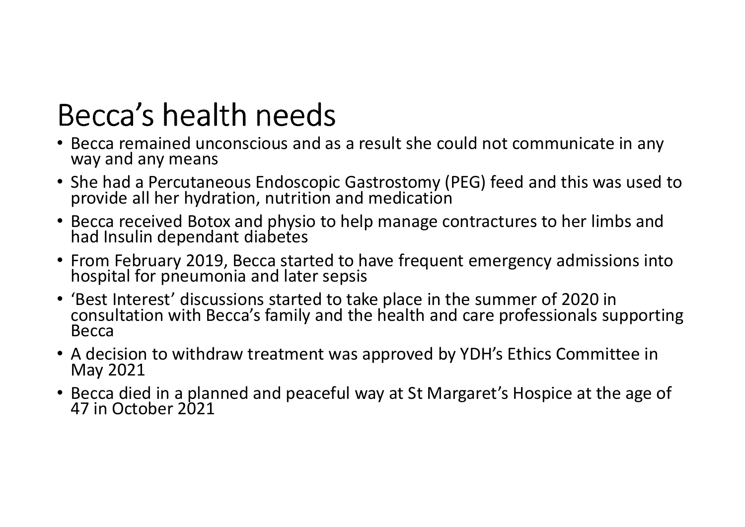### Becca's health needs

- Becca remained unconscious and as a result she could not communicate in any way and any means
- She had a Percutaneous Endoscopic Gastrostomy (PEG) feed and this was used to provide all her hydration, nutrition and medication
- Becca received Botox and physio to help manage contractures to her limbs and had Insulin dependant diabetes
- From February 2019, Becca started to have frequent emergency admissions into hospital for pneumonia and later sepsis
- 'Best Interest' discussions started to take place in the summer of 2020 in consultation with Becca's family and the health and care professionals supporting Becca
- A decision to withdraw treatment was approved by YDH's Ethics Committee in May 2021
- Becca died in a planned and peaceful way at St Margaret's Hospice at the age of 47 in October 2021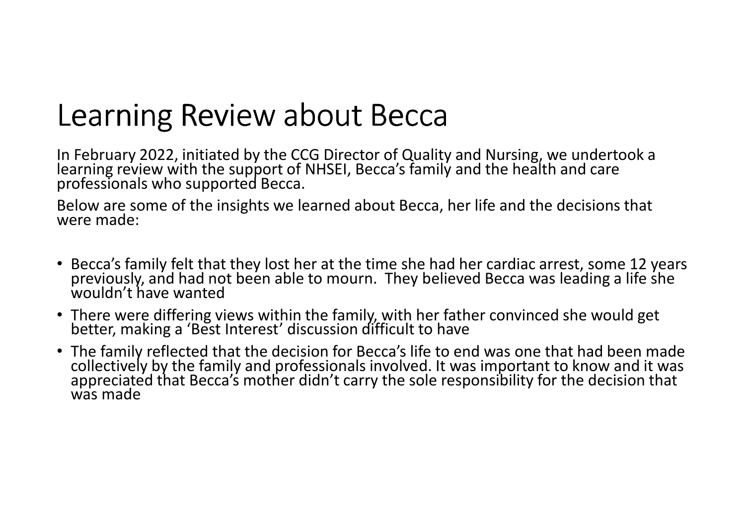### Learning Review about Becca

In February 2022, initiated by the CCG Director of Quality and Nursing, we undertook a learning review with the support of NHSEI, Becca's family and the health and care professionals who supported Becca.

Below are some of the insights we learned about Becca, her life and the decisions that were made:

- Becca's family felt that they lost her at the time she had her cardiac arrest, some 12 years previously, and had not been able to mourn. They believed Becca was leading a life she<br>wouldn't have wanted
- There were differing views within the family, with her father convinced she would get better, making a 'Best Interest' discussion difficult to have
- The family reflected that the decision for Becca's life to end was one that had been made collectively by the family and professionals involved. It was important to know and it was<br>appreciated that Becca's mother didn't carry the sole responsibility for the decision that<br>was made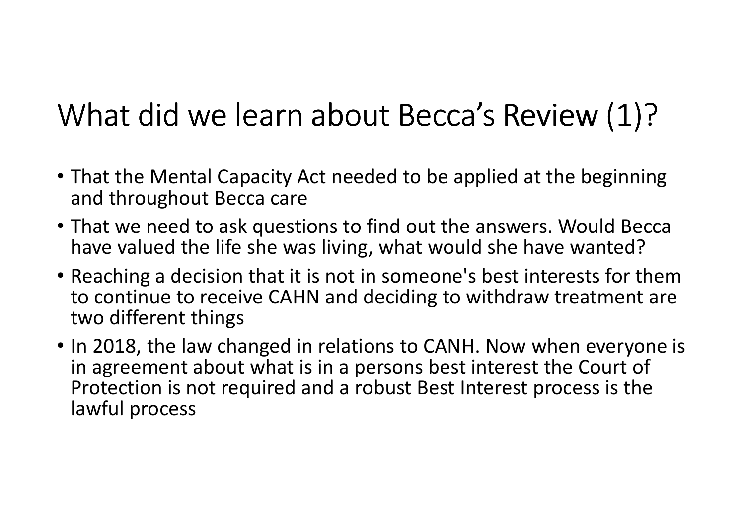# What did we learn about Becca's Review (1)?

- That the Mental Capacity Act needed to be applied at the beginning and throughout Becca care
- That we need to ask questions to find out the answers. Would Becca have valued the life she was living, what would she have wanted?
- Reaching a decision that it is not in someone's best interests for them to continue to receive CAHN and deciding to withdraw treatment are two different things
- In 2018, the law changed in relations to CANH. Now when everyone is in agreement about what is in a persons best interest the Court of Protection is not required and a robust Best Interest process is the lawful process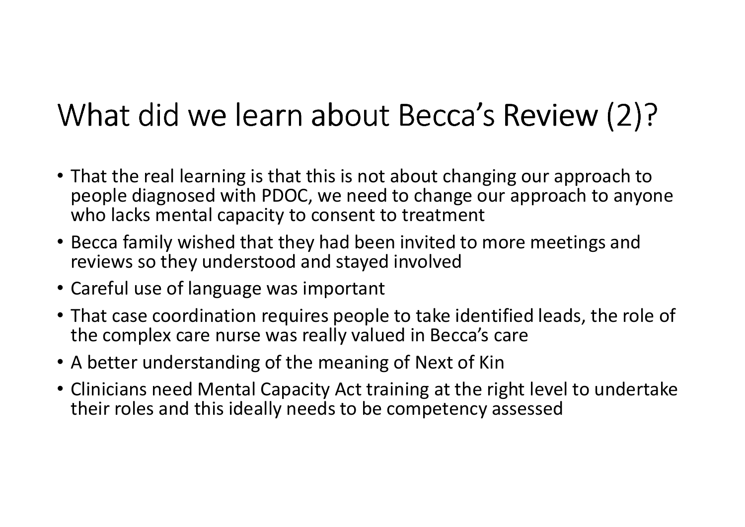# What did we learn about Becca's Review (2)?

- That the real learning is that this is not about changing our approach to people diagnosed with PDOC, we need to change our approach to anyone who lacks mental capacity to consent to treatment
- Becca family wished that they had been invited to more meetings and reviews so they understood and stayed involved
- Careful use of language was important
- That case coordination requires people to take identified leads, the role of the complex care nurse was really valued in Becca's care
- A better understanding of the meaning of Next of Kin
- Clinicians need Mental Capacity Act training at the right level to undertake their roles and this ideally needs to be competency assessed